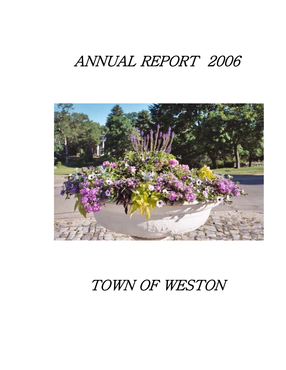# ANNUAL REPORT 2006



# TOWN OF WESTON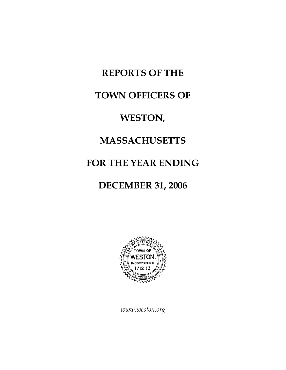# **REPORTS OF THE**

# **TOWN OFFICERS OF**

# **WESTON,**

# **MASSACHUSETTS**

# **FOR THE YEAR ENDING**

# **DECEMBER 31, 2006**



*www.weston.org*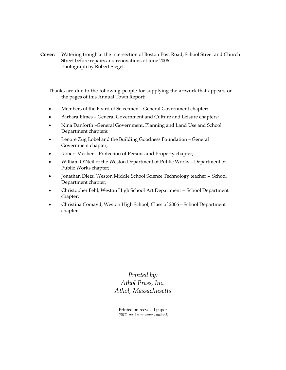**Cover:** Watering trough at the intersection of Boston Post Road, School Street and Church Street before repairs and renovations of June 2006. Photograph by Robert Siegel.

Thanks are due to the following people for supplying the artwork that appears on the pages of this Annual Town Report:

- Members of the Board of Selectmen General Government chapter;
- Barbara Elmes General Government and Culture and Leisure chapters;
- Nina Danforth –General Government, Planning and Land Use and School Department chapters:
- Lenore Zug Lobel and the Building Goodness Foundation General Government chapter;
- Robert Mosher Protection of Persons and Property chapter;
- William O'Neil of the Weston Department of Public Works Department of Public Works chapter;
- Jonathan Dietz, Weston Middle School Science Technology teacher School Department chapter;
- Christopher Fehl, Weston High School Art Department -- School Department chapter;
- Christina Comayd, Weston High School, Class of 2006 School Department chapter.

*Printed by: Athol Press, Inc. Athol, Massachusetts* 

Printed on recycled paper  *(30% post consumer content)*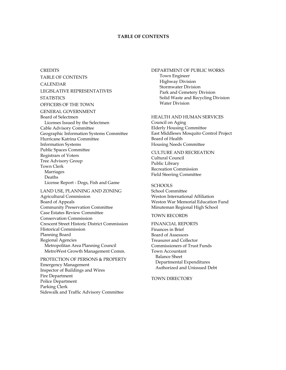### **TABLE OF CONTENTS**

**CREDITS** TABLE OF CONTENTS CALENDAR LEGISLATIVE REPRESENTATIVES **STATISTICS** OFFICERS OF THE TOWN GENERAL GOVERNMENT Board of Selectmen Licenses Issued by the Selectmen Cable Advisory Committee Geographic Information Systems Committee Hurricane Katrina Committee Information Systems Public Spaces Committee Registrars of Voters Tree Advisory Group Town Clerk Marriages Deaths License Report - Dogs, Fish and Game LAND USE, PLANNING AND ZONING Agricultural Commission Board of Appeals Community Preservation Committee Case Estates Review Committee Conservation Commission Crescent Street Historic District Commission Historical Commission

Planning Board Regional Agencies Metropolitan Area Planning Council MetroWest Growth Management Comm.

PROTECTION OF PERSONS & PROPERTY Emergency Management Inspector of Buildings and Wires Fire Department Police Department Parking Clerk Sidewalk and Traffic Advisory Committee

DEPARTMENT OF PUBLIC WORKS Town Engineer Highway Division Stormwater Division Park and Cemetery Division Solid Waste and Recycling Division Water Division

#### HEALTH AND HUMAN SERVICES

Council on Aging Elderly Housing Committee East Middlesex Mosquito Control Project Board of Health Housing Needs Committee

CULTURE AND RECREATION Cultural Council Public Library Recreation Commission Field Steering Committee

#### **SCHOOLS**

School Committee Weston International Affiliation Weston War Memorial Education Fund Minuteman Regional High School

### TOWN RECORDS

### FINANCIAL REPORTS Finances in Brief

Board of Assessors Treasurer and Collector Commissioners of Trust Funds Town Accountant Balance Sheet Departmental Expenditures Authorized and Unissued Debt

#### TOWN DIRECTORY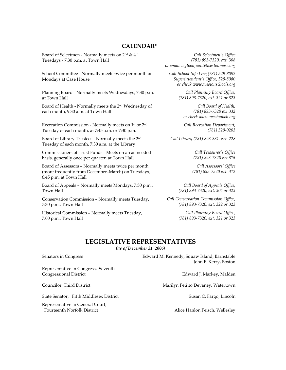### **CALENDAR\***

Board of Selectmen - Normally meets on 2nd & 4th Tuesdays - 7:30 p.m. at Town Hall

School Committee - Normally meets twice per month on Mondays at Case House

Planning Board - Normally meets Wednesdays, 7:30 p.m. at Town Hall

Board of Health - Normally meets the 2nd Wednesday of each month, 9:30 a.m. at Town Hall

Recreation Commission - Normally meets on 1st or 2nd Tuesday of each month, at 7:45 a.m. or 7:30 p.m.

Board of Library Trustees - Normally meets the 2nd Tuesday of each month, 7:30 a.m. at the Library

Commissioners of Trust Funds - Meets on an as-needed basis, generally once per quarter, at Town Hall

Board of Assessors – Normally meets twice per month (more frequently from December–March) on Tuesdays, 6:45 p.m. at Town Hall

Board of Appeals – Normally meets Mondays, 7:30 p.m., Town Hall

Conservation Commission – Normally meets Tuesday, 7:30 p.m., Town Hall

Historical Commission – Normally meets Tuesday, 7:00 p.m., Town Hall

*Call Selectmen's Office (781) 893-7320, ext. 308 or email zeytoonjian.l@westonmass.org* 

*Call School Info Line,(781) 529-8092 Superintendent's Office, 529-8080 or check www.westonschools.org* 

> *Call Planning Board Office, (781) 893-7320, ext. 321 or 323*

*Call Board of Health, (781) 893-7320 ext 332 or check www.westonboh.org* 

*Call Recreation Department, (781) 529-0203* 

*Call Library (781) 893-331, ext. 228* 

*Call Treasurer's Office (781) 893-7320 ext 315* 

*Call Assessors' Office (781) 893-7320 ext. 312* 

*Call Board of Appeals Office, (781) 893-7320, ext. 304 or 323* 

*Call Conservation Commission Office, (781) 893-7320, ext. 322 or 323* 

> *Call Planning Board Office, (781) 893-7320, ext. 321 or 323*

## **LEGISLATIVE REPRESENTATIVES**

*(as of December 31, 2006)*

Senators in Congress **Edward M. Kennedy, Squaw Island, Barnstable** John F. Kerry, Boston

Councilor, Third District **Marilyn Petitto Devaney, Watertown** 

### Representative in Congress, Seventh Congressional District **Edward J. Markey, Malden**

*\_\_\_\_\_\_\_\_\_\_\_\_* 

State Senator, Fifth Middlesex District Susan C. Fargo, Lincoln

Representative in General Court, Fourteenth Norfolk District **Alice Hanlon Peisch, Wellesley**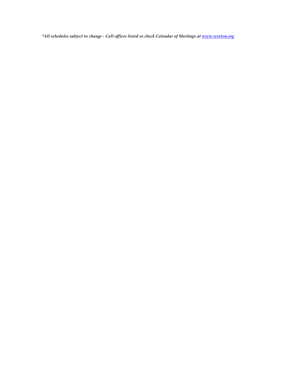*\*All schedules subject to change - Call offices listed or check Calendar of Meetings at www.weston.org*